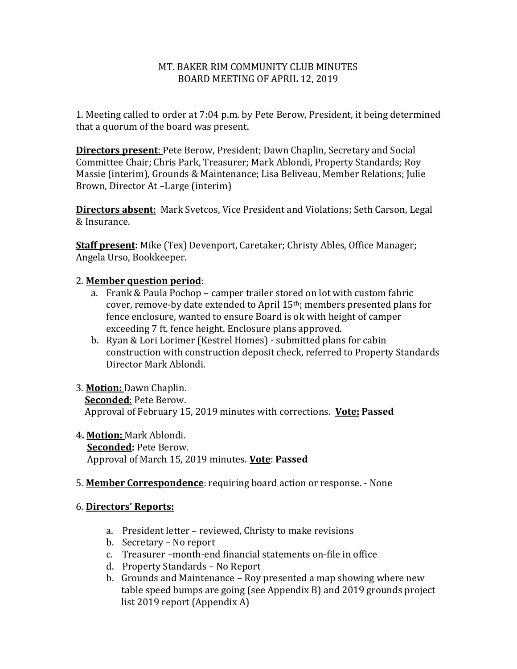#### MT. BAKER RIM COMMUNITY CLUB MINUTES BOARD MEETING OF APRIL 12, 2019

1. Meeting called to order at 7:04 p.m. by Pete Berow, President, it being determined that a quorum of the board was present.

**Directors present**: Pete Berow, President; Dawn Chaplin, Secretary and Social Committee Chair; Chris Park, Treasurer; Mark Ablondi, Property Standards; Roy Massie (interim), Grounds & Maintenance; Lisa Beliveau, Member Relations; Julie Brown, Director At –Large (interim)

**Directors absent**: Mark Svetcos, Vice President and Violations; Seth Carson, Legal & Insurance.

**Staff present:** Mike (Tex) Devenport, Caretaker; Christy Ables, Office Manager; Angela Urso, Bookkeeper.

### 2. **Member question period**:

- a. Frank & Paula Pochop camper trailer stored on lot with custom fabric cover, remove-by date extended to April 15th; members presented plans for fence enclosure, wanted to ensure Board is ok with height of camper exceeding 7 ft. fence height. Enclosure plans approved.
- b. Ryan & Lori Lorimer (Kestrel Homes) submitted plans for cabin construction with construction deposit check, referred to Property Standards Director Mark Ablondi.

### 3. **Motion:** Dawn Chaplin. **Seconded**: Pete Berow. Approval of February 15, 2019 minutes with corrections. **Vote: Passed**

#### **4. Motion:** Mark Ablondi.  **Seconded:** Pete Berow. Approval of March 15, 2019 minutes. **Vote**: **Passed**

5. **Member Correspondence**: requiring board action or response. - None

#### 6. **Directors' Reports:**

- a. President letter reviewed, Christy to make revisions
- b. Secretary No report
- c. Treasurer –month-end financial statements on-file in office
- d. Property Standards No Report
- b. Grounds and Maintenance Roy presented a map showing where new table speed bumps are going (see Appendix B) and 2019 grounds project list 2019 report (Appendix A)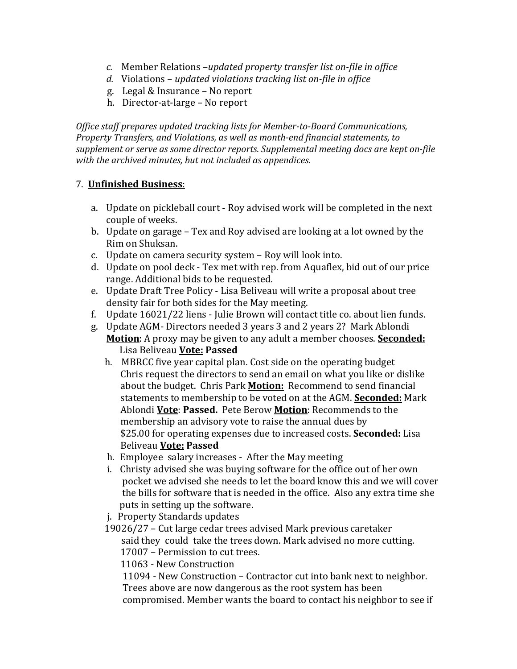- *c.* Member Relations –*updated property transfer list on-file in office*
- *d.* Violations *updated violations tracking list on-file in office*
- g. Legal & Insurance No report
- h. Director-at-large No report

*Office staff prepares updated tracking lists for Member-to-Board Communications, Property Transfers, and Violations, as well as month-end financial statements, to supplement or serve as some director reports. Supplemental meeting docs are kept on-file with the archived minutes, but not included as appendices.*

### 7. **Unfinished Business**:

- a. Update on pickleball court Roy advised work will be completed in the next couple of weeks.
- b. Update on garage Tex and Roy advised are looking at a lot owned by the Rim on Shuksan.
- c. Update on camera security system Roy will look into.
- d. Update on pool deck Tex met with rep. from Aquaflex, bid out of our price range. Additional bids to be requested.
- e. Update Draft Tree Policy Lisa Beliveau will write a proposal about tree density fair for both sides for the May meeting.
- f. Update 16021/22 liens Julie Brown will contact title co. about lien funds.
- g. Update AGM- Directors needed 3 years 3 and 2 years 2? Mark Ablondi **Motion**: A proxy may be given to any adult a member chooses. **Seconded:** Lisa Beliveau **Vote: Passed**
	- h. MBRCC five year capital plan. Cost side on the operating budget Chris request the directors to send an email on what you like or dislike about the budget. Chris Park **Motion:** Recommend to send financial statements to membership to be voted on at the AGM. **Seconded:** Mark Ablondi **Vote**: **Passed.** Pete Berow **Motion**: Recommends to the membership an advisory vote to raise the annual dues by \$25.00 for operating expenses due to increased costs. **Seconded:** Lisa Beliveau **Vote: Passed**
	- h. Employee salary increases After the May meeting
	- i. Christy advised she was buying software for the office out of her own pocket we advised she needs to let the board know this and we will cover the bills for software that is needed in the office. Also any extra time she puts in setting up the software.
	- j. Property Standards updates
	- 19026/27 Cut large cedar trees advised Mark previous caretaker said they could take the trees down. Mark advised no more cutting. 17007 – Permission to cut trees.

11063 - New Construction

 11094 - New Construction – Contractor cut into bank next to neighbor. Trees above are now dangerous as the root system has been compromised. Member wants the board to contact his neighbor to see if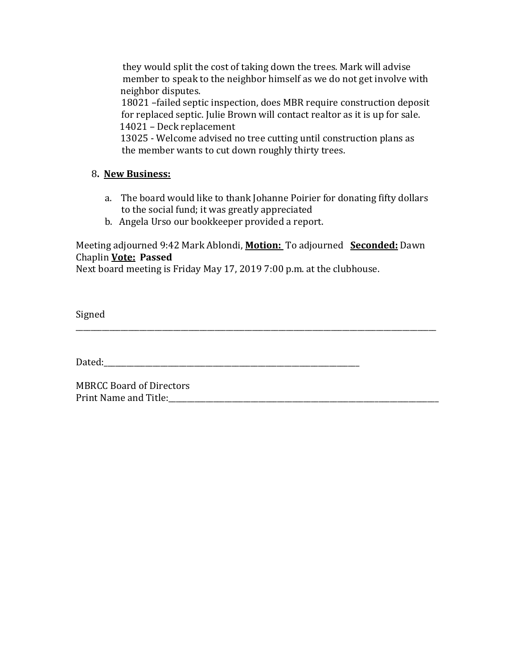they would split the cost of taking down the trees. Mark will advise member to speak to the neighbor himself as we do not get involve with neighbor disputes.

18021 –failed septic inspection, does MBR require construction deposit for replaced septic. Julie Brown will contact realtor as it is up for sale. 14021 – Deck replacement

 13025 - Welcome advised no tree cutting until construction plans as the member wants to cut down roughly thirty trees.

### 8**. New Business:**

- a. The board would like to thank Johanne Poirier for donating fifty dollars to the social fund; it was greatly appreciated
- b. Angela Urso our bookkeeper provided a report.

### Meeting adjourned 9:42 Mark Ablondi, **Motion:** To adjourned **Seconded:** Dawn Chaplin **Vote: Passed**

\_\_\_\_\_\_\_\_\_\_\_\_\_\_\_\_\_\_\_\_\_\_\_\_\_\_\_\_\_\_\_\_\_\_\_\_\_\_\_\_\_\_\_\_\_\_\_\_\_\_\_\_\_\_\_\_\_\_\_\_\_\_\_\_\_\_\_\_\_\_\_\_\_\_\_\_\_\_\_\_\_\_\_\_\_\_\_\_\_\_\_\_\_\_\_\_

Next board meeting is Friday May 17, 2019 7:00 p.m. at the clubhouse.

Signed

Dated:

MBRCC Board of Directors Print Name and Title: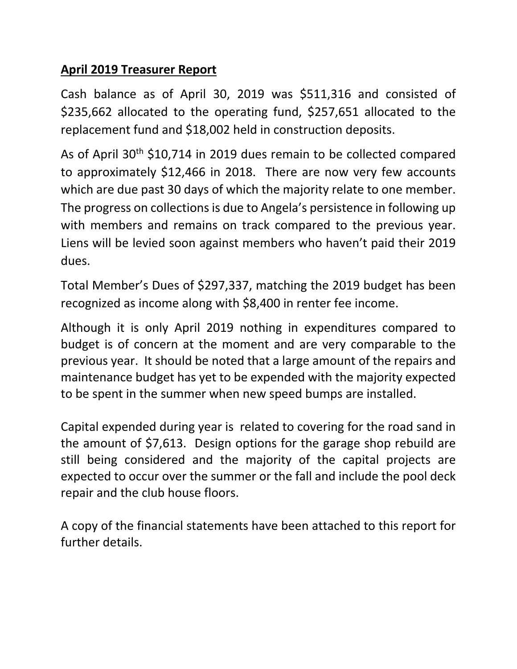# **April 2019 Treasurer Report**

Cash balance as of April 30, 2019 was \$511,316 and consisted of \$235,662 allocated to the operating fund, \$257,651 allocated to the replacement fund and \$18,002 held in construction deposits.

As of April 30th \$10,714 in 2019 dues remain to be collected compared to approximately \$12,466 in 2018. There are now very few accounts which are due past 30 days of which the majority relate to one member. The progress on collections is due to Angela's persistence in following up with members and remains on track compared to the previous year. Liens will be levied soon against members who haven't paid their 2019 dues.

Total Member's Dues of \$297,337, matching the 2019 budget has been recognized as income along with \$8,400 in renter fee income.

Although it is only April 2019 nothing in expenditures compared to budget is of concern at the moment and are very comparable to the previous year. It should be noted that a large amount of the repairs and maintenance budget has yet to be expended with the majority expected to be spent in the summer when new speed bumps are installed.

Capital expended during year is related to covering for the road sand in the amount of \$7,613. Design options for the garage shop rebuild are still being considered and the majority of the capital projects are expected to occur over the summer or the fall and include the pool deck repair and the club house floors.

A copy of the financial statements have been attached to this report for further details.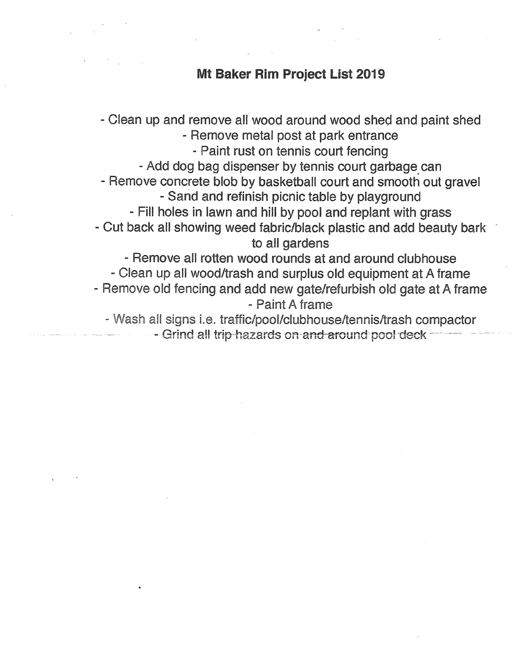## Mt Baker Rim Project List 2019

- Clean up and remove all wood around wood shed and paint shed - Remove metal post at park entrance - Paint rust on tennis court fencing - Add dog bag dispenser by tennis court garbage can - Remove concrete blob by basketball court and smooth out gravel - Sand and refinish picnic table by playground - Fill holes in lawn and hill by pool and replant with grass - Cut back all showing weed fabric/black plastic and add beauty bark to all gardens - Remove all rotten wood rounds at and around clubhouse - Clean up all wood/trash and surplus old equipment at A frame - Remove old fencing and add new gate/refurbish old gate at A frame - Paint A frame - Wash all signs i.e. traffic/pool/clubhouse/tennis/trash compactor

- Grind all trip hazards on and around pool deck